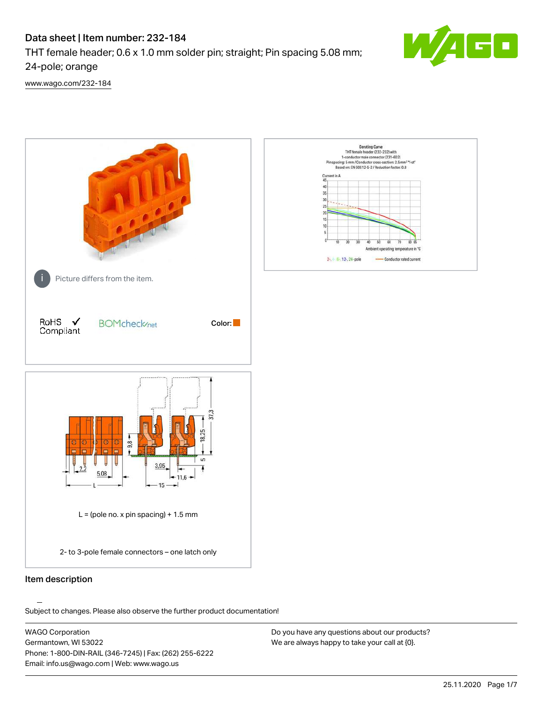# Data sheet | Item number: 232-184

THT female header; 0.6 x 1.0 mm solder pin; straight; Pin spacing 5.08 mm;

24-pole; orange

[www.wago.com/232-184](http://www.wago.com/232-184)



.<br>Subject to changes. Please also observe the further product documentation!

WAGO Corporation Germantown, WI 53022 Phone: 1-800-DIN-RAIL (346-7245) | Fax: (262) 255-6222 Email: info.us@wago.com | Web: www.wago.us

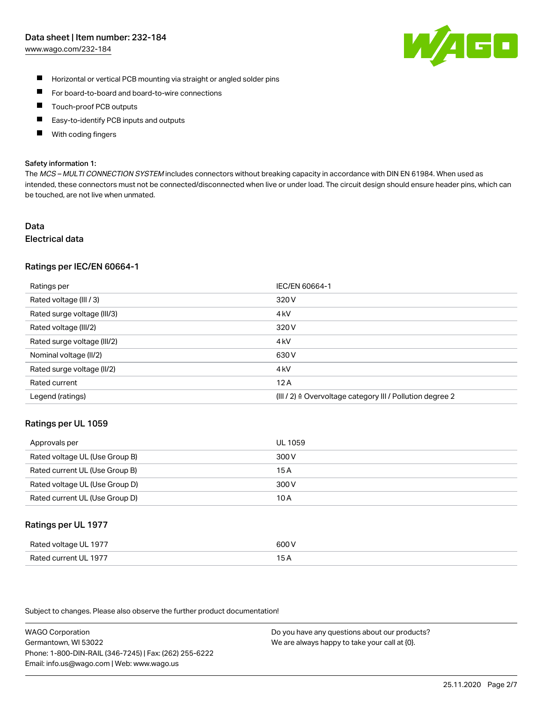#### Data sheet | Item number: 232-184

[www.wago.com/232-184](http://www.wago.com/232-184)



- $\blacksquare$ Horizontal or vertical PCB mounting via straight or angled solder pins
- $\blacksquare$ For board-to-board and board-to-wire connections
- Touch-proof PCB outputs  $\blacksquare$
- П Easy-to-identify PCB inputs and outputs
- П With coding fingers

#### Safety information 1:

The MCS - MULTI CONNECTION SYSTEM includes connectors without breaking capacity in accordance with DIN EN 61984. When used as intended, these connectors must not be connected/disconnected when live or under load. The circuit design should ensure header pins, which can be touched, are not live when unmated.

#### Data Electrical data

#### Ratings per IEC/EN 60664-1

| Ratings per                 | IEC/EN 60664-1                                                       |
|-----------------------------|----------------------------------------------------------------------|
| Rated voltage (III / 3)     | 320 V                                                                |
| Rated surge voltage (III/3) | 4 <sub>k</sub> V                                                     |
| Rated voltage (III/2)       | 320 V                                                                |
| Rated surge voltage (III/2) | 4 <sub>k</sub> V                                                     |
| Nominal voltage (II/2)      | 630 V                                                                |
| Rated surge voltage (II/2)  | 4 <sub>k</sub> V                                                     |
| Rated current               | 12A                                                                  |
| Legend (ratings)            | (III / 2) $\triangleq$ Overvoltage category III / Pollution degree 2 |

#### Ratings per UL 1059

| Approvals per                  | UL 1059 |
|--------------------------------|---------|
| Rated voltage UL (Use Group B) | 300 V   |
| Rated current UL (Use Group B) | 15 A    |
| Rated voltage UL (Use Group D) | 300 V   |
| Rated current UL (Use Group D) | 10 A    |

#### Ratings per UL 1977

| Rated voltage UL 1977    | coo V       |
|--------------------------|-------------|
| Current UL 1977<br>Rated | ، ت<br>____ |

Subject to changes. Please also observe the further product documentation!

WAGO Corporation Germantown, WI 53022 Phone: 1-800-DIN-RAIL (346-7245) | Fax: (262) 255-6222 Email: info.us@wago.com | Web: www.wago.us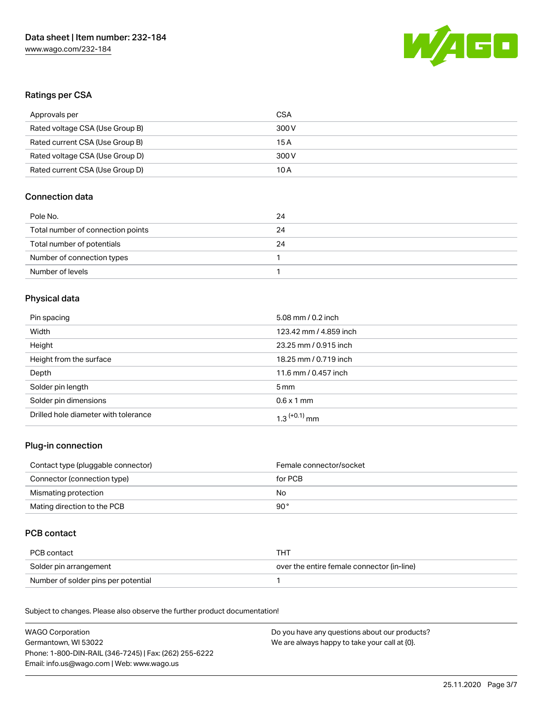

# Ratings per CSA

| Approvals per                   | CSA   |
|---------------------------------|-------|
| Rated voltage CSA (Use Group B) | 300 V |
| Rated current CSA (Use Group B) | 15 A  |
| Rated voltage CSA (Use Group D) | 300 V |
| Rated current CSA (Use Group D) | 10 A  |

## Connection data

| Pole No.                          | 24 |
|-----------------------------------|----|
| Total number of connection points | 24 |
| Total number of potentials        | 24 |
| Number of connection types        |    |
| Number of levels                  |    |

## Physical data

| Pin spacing                          | 5.08 mm / 0.2 inch         |
|--------------------------------------|----------------------------|
| Width                                | 123.42 mm / 4.859 inch     |
| Height                               | 23.25 mm / 0.915 inch      |
| Height from the surface              | 18.25 mm / 0.719 inch      |
| Depth                                | 11.6 mm / 0.457 inch       |
| Solder pin length                    | $5 \,\mathrm{mm}$          |
| Solder pin dimensions                | $0.6 \times 1$ mm          |
| Drilled hole diameter with tolerance | $1.3$ <sup>(+0.1)</sup> mm |

### Plug-in connection

| Contact type (pluggable connector) | Female connector/socket |
|------------------------------------|-------------------------|
| Connector (connection type)        | for PCB                 |
| Mismating protection               | No                      |
| Mating direction to the PCB        | 90 °                    |

# PCB contact

| PCB contact                         | THT                                        |
|-------------------------------------|--------------------------------------------|
| Solder pin arrangement              | over the entire female connector (in-line) |
| Number of solder pins per potential |                                            |

Subject to changes. Please also observe the further product documentation! Material Data

| WAGO Corporation                                       | Do you have any questions about our products? |
|--------------------------------------------------------|-----------------------------------------------|
| Germantown, WI 53022                                   | We are always happy to take your call at {0}. |
| Phone: 1-800-DIN-RAIL (346-7245)   Fax: (262) 255-6222 |                                               |
| Email: info.us@wago.com   Web: www.wago.us             |                                               |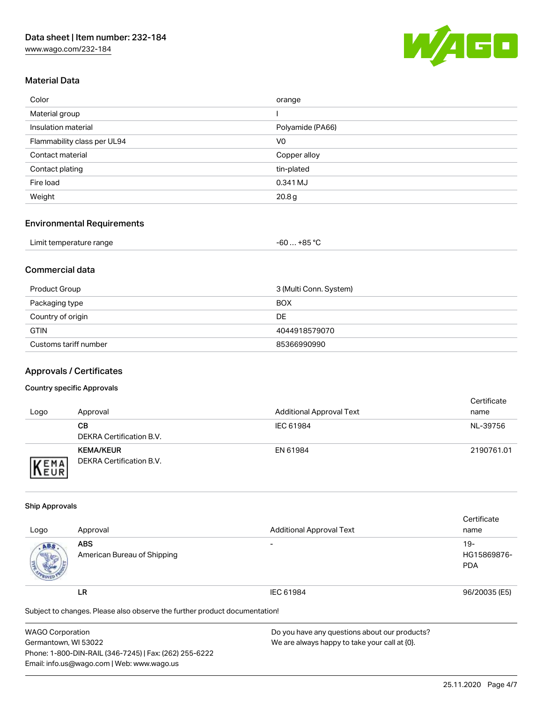[www.wago.com/232-184](http://www.wago.com/232-184)



## Material Data

| Color                       | orange            |
|-----------------------------|-------------------|
| Material group              |                   |
| Insulation material         | Polyamide (PA66)  |
| Flammability class per UL94 | V <sub>0</sub>    |
| Contact material            | Copper alloy      |
| Contact plating             | tin-plated        |
| Fire load                   | 0.341 MJ          |
| Weight                      | 20.8 <sub>g</sub> |

### Environmental Requirements

| Limit temperature range | .+85 °C<br>-60 |
|-------------------------|----------------|
|-------------------------|----------------|

## Commercial data

| Product Group         | 3 (Multi Conn. System) |
|-----------------------|------------------------|
| Packaging type        | <b>BOX</b>             |
| Country of origin     | DE                     |
| <b>GTIN</b>           | 4044918579070          |
| Customs tariff number | 85366990990            |

## Approvals / Certificates

#### Country specific Approvals

| Logo                | Approval                                     | <b>Additional Approval Text</b> | Certificate<br>name |
|---------------------|----------------------------------------------|---------------------------------|---------------------|
|                     | CВ<br>DEKRA Certification B.V.               | IEC 61984                       | NL-39756            |
| EMA<br><b>INEUR</b> | <b>KEMA/KEUR</b><br>DEKRA Certification B.V. | EN 61984                        | 2190761.01          |

#### Ship Approvals

|                                                                            |                             |                                 | Certificate   |  |
|----------------------------------------------------------------------------|-----------------------------|---------------------------------|---------------|--|
| Logo                                                                       | Approval                    | <b>Additional Approval Text</b> | name          |  |
| ABS.                                                                       | <b>ABS</b>                  | $\overline{\phantom{a}}$        | $19 -$        |  |
|                                                                            | American Bureau of Shipping |                                 | HG15869876-   |  |
|                                                                            |                             |                                 | <b>PDA</b>    |  |
|                                                                            | LR                          | IEC 61984                       | 96/20035 (E5) |  |
| Subject to changes. Please also observe the further product documentation! |                             |                                 |               |  |

| <b>WAGO Corporation</b>                                | Do you have any questions about our products? |
|--------------------------------------------------------|-----------------------------------------------|
| Germantown, WI 53022                                   | We are always happy to take your call at {0}. |
| Phone: 1-800-DIN-RAIL (346-7245)   Fax: (262) 255-6222 |                                               |
| Email: info.us@wago.com   Web: www.wago.us             |                                               |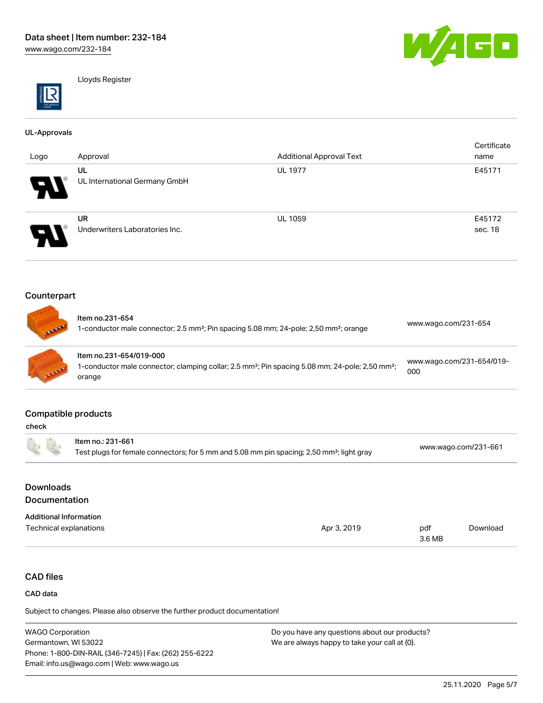

Lloyds Register

#### UL-Approvals

| . .<br>Logo                | Approval                                    | <b>Additional Approval Text</b> | Certificate<br>name |
|----------------------------|---------------------------------------------|---------------------------------|---------------------|
| W                          | UL<br>UL International Germany GmbH         | <b>UL 1977</b>                  | E45171              |
| $\boldsymbol{\mathcal{A}}$ | <b>UR</b><br>Underwriters Laboratories Inc. | <b>UL 1059</b>                  | E45172<br>sec. 18   |

## Counterpart

| <b>ALLIERS</b> | Item no.231-654<br>1-conductor male connector; 2.5 mm <sup>2</sup> ; Pin spacing 5.08 mm; 24-pole; 2,50 mm <sup>2</sup> ; orange                             | www.wago.com/231-654             |
|----------------|--------------------------------------------------------------------------------------------------------------------------------------------------------------|----------------------------------|
| <b>CALLAD</b>  | Item no.231-654/019-000<br>1-conductor male connector; clamping collar; 2.5 mm <sup>2</sup> ; Pin spacing 5.08 mm; 24-pole; 2,50 mm <sup>2</sup> ;<br>orange | www.wago.com/231-654/019-<br>000 |

### Compatible products

| 正                             | Item no.: 231-661<br>Test plugs for female connectors; for 5 mm and 5.08 mm pin spacing; 2,50 mm <sup>2</sup> ; light gray |             |               | www.wago.com/231-661 |  |
|-------------------------------|----------------------------------------------------------------------------------------------------------------------------|-------------|---------------|----------------------|--|
| <b>Downloads</b>              |                                                                                                                            |             |               |                      |  |
| Documentation                 |                                                                                                                            |             |               |                      |  |
| <b>Additional Information</b> |                                                                                                                            |             |               |                      |  |
| Technical explanations        |                                                                                                                            | Apr 3, 2019 | pdf<br>3.6 MB | Download             |  |

# CAD files

#### CAD data

Subject to changes. Please also observe the further product documentation!

WAGO Corporation Germantown, WI 53022 Phone: 1-800-DIN-RAIL (346-7245) | Fax: (262) 255-6222 Email: info.us@wago.com | Web: www.wago.us Do you have any questions about our products? We are always happy to take your call at {0}.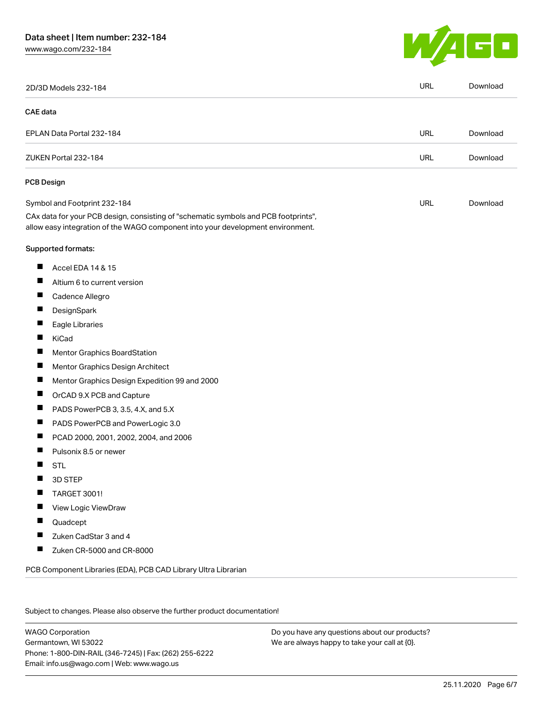# Data sheet | Item number: 232-184

[www.wago.com/232-184](http://www.wago.com/232-184)



|                 | 2D/3D Models 232-184                                                                                                                                                   | <b>URL</b> | Download |
|-----------------|------------------------------------------------------------------------------------------------------------------------------------------------------------------------|------------|----------|
| <b>CAE</b> data |                                                                                                                                                                        |            |          |
|                 | EPLAN Data Portal 232-184                                                                                                                                              | URL        | Download |
|                 | ZUKEN Portal 232-184                                                                                                                                                   | <b>URL</b> | Download |
|                 | <b>PCB Design</b>                                                                                                                                                      |            |          |
|                 | Symbol and Footprint 232-184                                                                                                                                           | URL        | Download |
|                 | CAx data for your PCB design, consisting of "schematic symbols and PCB footprints",<br>allow easy integration of the WAGO component into your development environment. |            |          |
|                 | Supported formats:                                                                                                                                                     |            |          |
| ш               | Accel EDA 14 & 15                                                                                                                                                      |            |          |
| ш               | Altium 6 to current version                                                                                                                                            |            |          |
| ш               | Cadence Allegro                                                                                                                                                        |            |          |
|                 | DesignSpark                                                                                                                                                            |            |          |
| ш               | Eagle Libraries                                                                                                                                                        |            |          |
| ш               | KiCad                                                                                                                                                                  |            |          |
|                 | Mentor Graphics BoardStation                                                                                                                                           |            |          |
| ш               | Mentor Graphics Design Architect                                                                                                                                       |            |          |
| ш               | Mentor Graphics Design Expedition 99 and 2000                                                                                                                          |            |          |
| H               | OrCAD 9.X PCB and Capture                                                                                                                                              |            |          |
| ш               | PADS PowerPCB 3, 3.5, 4.X, and 5.X                                                                                                                                     |            |          |
| ш               | PADS PowerPCB and PowerLogic 3.0                                                                                                                                       |            |          |
| $\blacksquare$  | PCAD 2000, 2001, 2002, 2004, and 2006                                                                                                                                  |            |          |
|                 | Pulsonix 8.5 or newer                                                                                                                                                  |            |          |
| H               | <b>STL</b>                                                                                                                                                             |            |          |
|                 | 3D STEP                                                                                                                                                                |            |          |
|                 | <b>TARGET 3001!</b>                                                                                                                                                    |            |          |
|                 | View Logic ViewDraw                                                                                                                                                    |            |          |
| ш               | Quadcept                                                                                                                                                               |            |          |
| ш               | Zuken CadStar 3 and 4                                                                                                                                                  |            |          |
| П               | Zuken CR-5000 and CR-8000                                                                                                                                              |            |          |

Subject to changes. Please also observe the further product documentation!

WAGO Corporation Germantown, WI 53022 Phone: 1-800-DIN-RAIL (346-7245) | Fax: (262) 255-6222 Email: info.us@wago.com | Web: www.wago.us